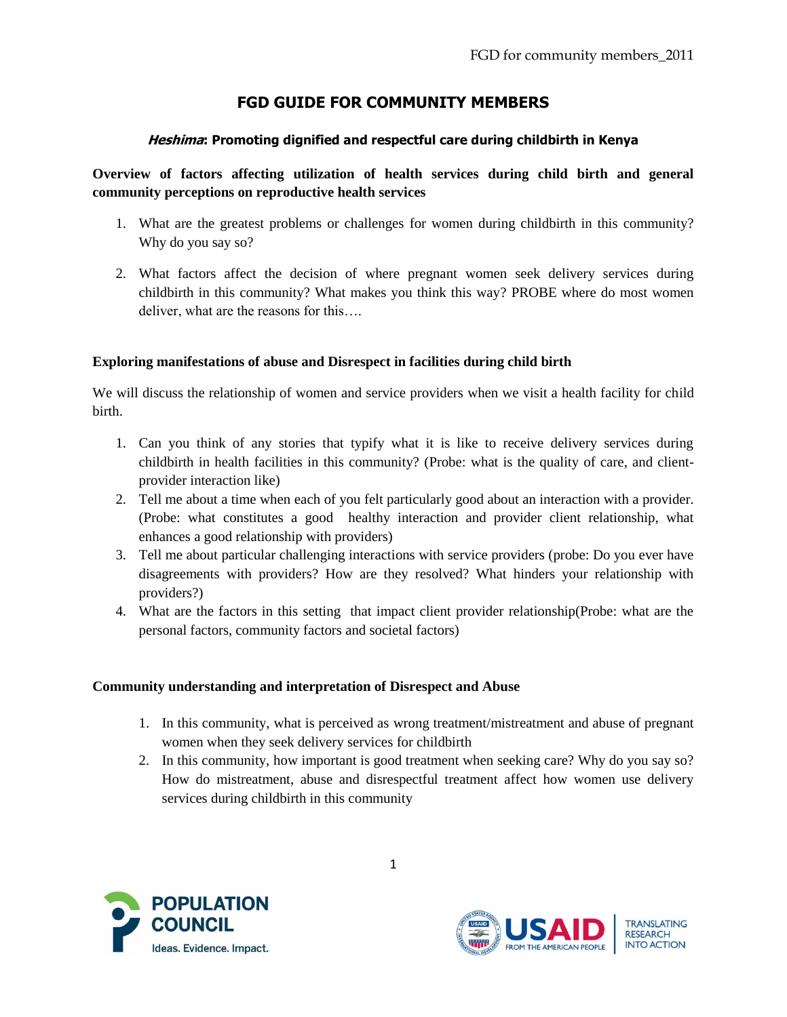# **FGD GUIDE FOR COMMUNITY MEMBERS**

### **Heshima: Promoting dignified and respectful care during childbirth in Kenya**

## **Overview of factors affecting utilization of health services during child birth and general community perceptions on reproductive health services**

- 1. What are the greatest problems or challenges for women during childbirth in this community? Why do you say so?
- 2. What factors affect the decision of where pregnant women seek delivery services during childbirth in this community? What makes you think this way? PROBE where do most women deliver, what are the reasons for this….

#### **Exploring manifestations of abuse and Disrespect in facilities during child birth**

We will discuss the relationship of women and service providers when we visit a health facility for child birth.

- 1. Can you think of any stories that typify what it is like to receive delivery services during childbirth in health facilities in this community? (Probe: what is the quality of care, and clientprovider interaction like)
- 2. Tell me about a time when each of you felt particularly good about an interaction with a provider. (Probe: what constitutes a good healthy interaction and provider client relationship, what enhances a good relationship with providers)
- 3. Tell me about particular challenging interactions with service providers (probe: Do you ever have disagreements with providers? How are they resolved? What hinders your relationship with providers?)
- 4. What are the factors in this setting that impact client provider relationship(Probe: what are the personal factors, community factors and societal factors)

#### **Community understanding and interpretation of Disrespect and Abuse**

- 1. In this community, what is perceived as wrong treatment/mistreatment and abuse of pregnant women when they seek delivery services for childbirth
- 2. In this community, how important is good treatment when seeking care? Why do you say so? How do mistreatment, abuse and disrespectful treatment affect how women use delivery services during childbirth in this community